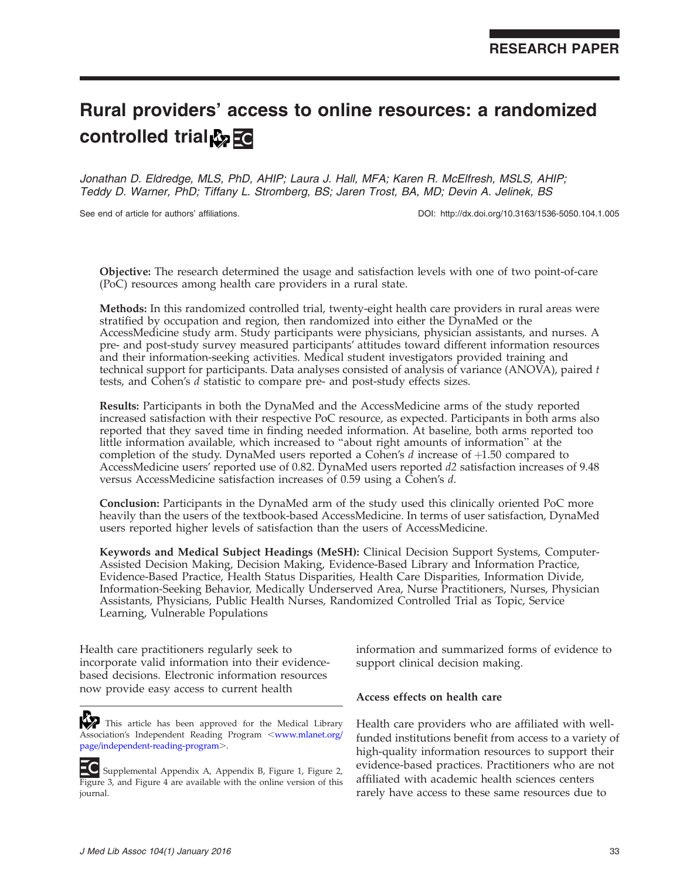# Rural providers' access to online resources: a randomized controlled trial &

Jonathan D. Eldredge, MLS, PhD, AHIP; Laura J. Hall, MFA; Karen R. McElfresh, MSLS, AHIP; Teddy D. Warner, PhD; Tiffany L. Stromberg, BS; Jaren Trost, BA, MD; Devin A. Jelinek, BS

See end of article for authors' affiliations. DOI: http://dx.doi.org/10.3163/1536-5050.104.1.005

Objective: The research determined the usage and satisfaction levels with one of two point-of-care (PoC) resources among health care providers in a rural state.

Methods: In this randomized controlled trial, twenty-eight health care providers in rural areas were stratified by occupation and region, then randomized into either the DynaMed or the AccessMedicine study arm. Study participants were physicians, physician assistants, and nurses. A pre- and post-study survey measured participants' attitudes toward different information resources and their information-seeking activities. Medical student investigators provided training and technical support for participants. Data analyses consisted of analysis of variance (ANOVA), paired  $t$ tests, and Cohen's *d* statistic to compare pre- and post-study effects sizes.

Results: Participants in both the DynaMed and the AccessMedicine arms of the study reported increased satisfaction with their respective PoC resource, as expected. Participants in both arms also reported that they saved time in finding needed information. At baseline, both arms reported too little information available, which increased to ''about right amounts of information'' at the completion of the study. DynaMed users reported a Cohen's  $d$  increase of  $+1.50$  compared to AccessMedicine users' reported use of 0.82. DynaMed users reported d2 satisfaction increases of 9.48 versus AccessMedicine satisfaction increases of 0.59 using a Cohen's d.

Conclusion: Participants in the DynaMed arm of the study used this clinically oriented PoC more heavily than the users of the textbook-based AccessMedicine. In terms of user satisfaction, DynaMed users reported higher levels of satisfaction than the users of AccessMedicine.

Keywords and Medical Subject Headings (MeSH): Clinical Decision Support Systems, Computer-Assisted Decision Making, Decision Making, Evidence-Based Library and Information Practice, Evidence-Based Practice, Health Status Disparities, Health Care Disparities, Information Divide, Information-Seeking Behavior, Medically Underserved Area, Nurse Practitioners, Nurses, Physician Assistants, Physicians, Public Health Nurses, Randomized Controlled Trial as Topic, Service Learning, Vulnerable Populations

Health care practitioners regularly seek to incorporate valid information into their evidencebased decisions. Electronic information resources now provide easy access to current health

This article has been approved for the Medical Library Association's Independent Reading Program <[www.mlanet.org/](http://www.mlanet.org/education/irp/) [page/independent-reading-program](http://www.mlanet.org/education/irp/)>.

information and summarized forms of evidence to support clinical decision making.

## Access effects on health care

Health care providers who are affiliated with wellfunded institutions benefit from access to a variety of high-quality information resources to support their evidence-based practices. Practitioners who are not affiliated with academic health sciences centers rarely have access to these same resources due to

Supplemental Appendix A, Appendix B, Figure 1, Figure 2, Figure 3, and Figure 4 are available with the online version of this journal.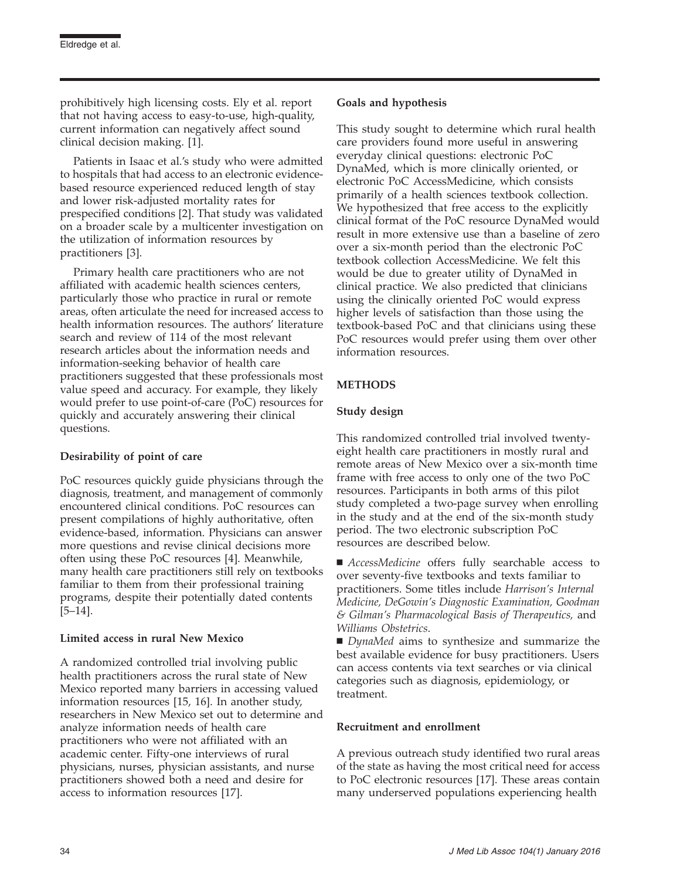prohibitively high licensing costs. Ely et al. report that not having access to easy-to-use, high-quality, current information can negatively affect sound clinical decision making. [1].

Patients in Isaac et al.'s study who were admitted to hospitals that had access to an electronic evidencebased resource experienced reduced length of stay and lower risk-adjusted mortality rates for prespecified conditions [2]. That study was validated on a broader scale by a multicenter investigation on the utilization of information resources by practitioners [3].

Primary health care practitioners who are not affiliated with academic health sciences centers, particularly those who practice in rural or remote areas, often articulate the need for increased access to health information resources. The authors' literature search and review of 114 of the most relevant research articles about the information needs and information-seeking behavior of health care practitioners suggested that these professionals most value speed and accuracy. For example, they likely would prefer to use point-of-care (PoC) resources for quickly and accurately answering their clinical questions.

# Desirability of point of care

PoC resources quickly guide physicians through the diagnosis, treatment, and management of commonly encountered clinical conditions. PoC resources can present compilations of highly authoritative, often evidence-based, information. Physicians can answer more questions and revise clinical decisions more often using these PoC resources [4]. Meanwhile, many health care practitioners still rely on textbooks familiar to them from their professional training programs, despite their potentially dated contents [5–14].

# Limited access in rural New Mexico

A randomized controlled trial involving public health practitioners across the rural state of New Mexico reported many barriers in accessing valued information resources [15, 16]. In another study, researchers in New Mexico set out to determine and analyze information needs of health care practitioners who were not affiliated with an academic center. Fifty-one interviews of rural physicians, nurses, physician assistants, and nurse practitioners showed both a need and desire for access to information resources [17].

# Goals and hypothesis

This study sought to determine which rural health care providers found more useful in answering everyday clinical questions: electronic PoC DynaMed, which is more clinically oriented, or electronic PoC AccessMedicine, which consists primarily of a health sciences textbook collection. We hypothesized that free access to the explicitly clinical format of the PoC resource DynaMed would result in more extensive use than a baseline of zero over a six-month period than the electronic PoC textbook collection AccessMedicine. We felt this would be due to greater utility of DynaMed in clinical practice. We also predicted that clinicians using the clinically oriented PoC would express higher levels of satisfaction than those using the textbook-based PoC and that clinicians using these PoC resources would prefer using them over other information resources.

# METHODS

# Study design

This randomized controlled trial involved twentyeight health care practitioners in mostly rural and remote areas of New Mexico over a six-month time frame with free access to only one of the two PoC resources. Participants in both arms of this pilot study completed a two-page survey when enrolling in the study and at the end of the six-month study period. The two electronic subscription PoC resources are described below.

■ AccessMedicine offers fully searchable access to over seventy-five textbooks and texts familiar to practitioners. Some titles include Harrison's Internal Medicine, DeGowin's Diagnostic Examination, Goodman & Gilman's Pharmacological Basis of Therapeutics, and Williams Obstetrics.

 $\blacksquare$  DynaMed aims to synthesize and summarize the best available evidence for busy practitioners. Users can access contents via text searches or via clinical categories such as diagnosis, epidemiology, or treatment.

# Recruitment and enrollment

A previous outreach study identified two rural areas of the state as having the most critical need for access to PoC electronic resources [17]. These areas contain many underserved populations experiencing health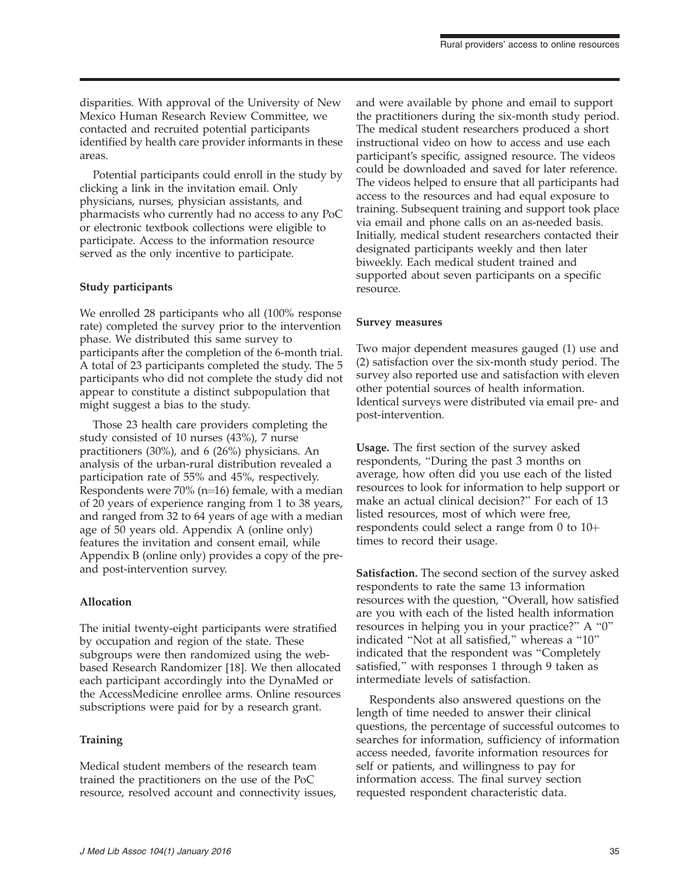disparities. With approval of the University of New Mexico Human Research Review Committee, we contacted and recruited potential participants identified by health care provider informants in these areas.

Potential participants could enroll in the study by clicking a link in the invitation email. Only physicians, nurses, physician assistants, and pharmacists who currently had no access to any PoC or electronic textbook collections were eligible to participate. Access to the information resource served as the only incentive to participate.

# Study participants

We enrolled 28 participants who all (100% response rate) completed the survey prior to the intervention phase. We distributed this same survey to participants after the completion of the 6-month trial. A total of 23 participants completed the study. The 5 participants who did not complete the study did not appear to constitute a distinct subpopulation that might suggest a bias to the study.

Those 23 health care providers completing the study consisted of 10 nurses (43%), 7 nurse practitioners (30%), and 6 (26%) physicians. An analysis of the urban-rural distribution revealed a participation rate of 55% and 45%, respectively. Respondents were  $70\%$  (n=16) female, with a median of 20 years of experience ranging from 1 to 38 years, and ranged from 32 to 64 years of age with a median age of 50 years old. Appendix A (online only) features the invitation and consent email, while Appendix B (online only) provides a copy of the preand post-intervention survey.

# Allocation

The initial twenty-eight participants were stratified by occupation and region of the state. These subgroups were then randomized using the webbased Research Randomizer [18]. We then allocated each participant accordingly into the DynaMed or the AccessMedicine enrollee arms. Online resources subscriptions were paid for by a research grant.

## Training

Medical student members of the research team trained the practitioners on the use of the PoC resource, resolved account and connectivity issues, and were available by phone and email to support the practitioners during the six-month study period. The medical student researchers produced a short instructional video on how to access and use each participant's specific, assigned resource. The videos could be downloaded and saved for later reference. The videos helped to ensure that all participants had access to the resources and had equal exposure to training. Subsequent training and support took place via email and phone calls on an as-needed basis. Initially, medical student researchers contacted their designated participants weekly and then later biweekly. Each medical student trained and supported about seven participants on a specific resource.

## Survey measures

Two major dependent measures gauged (1) use and (2) satisfaction over the six-month study period. The survey also reported use and satisfaction with eleven other potential sources of health information. Identical surveys were distributed via email pre- and post-intervention.

Usage. The first section of the survey asked respondents, ''During the past 3 months on average, how often did you use each of the listed resources to look for information to help support or make an actual clinical decision?'' For each of 13 listed resources, most of which were free, respondents could select a range from 0 to  $10+$ times to record their usage.

Satisfaction. The second section of the survey asked respondents to rate the same 13 information resources with the question, ''Overall, how satisfied are you with each of the listed health information resources in helping you in your practice?'' A ''0'' indicated ''Not at all satisfied,'' whereas a ''10'' indicated that the respondent was ''Completely satisfied," with responses 1 through 9 taken as intermediate levels of satisfaction.

Respondents also answered questions on the length of time needed to answer their clinical questions, the percentage of successful outcomes to searches for information, sufficiency of information access needed, favorite information resources for self or patients, and willingness to pay for information access. The final survey section requested respondent characteristic data.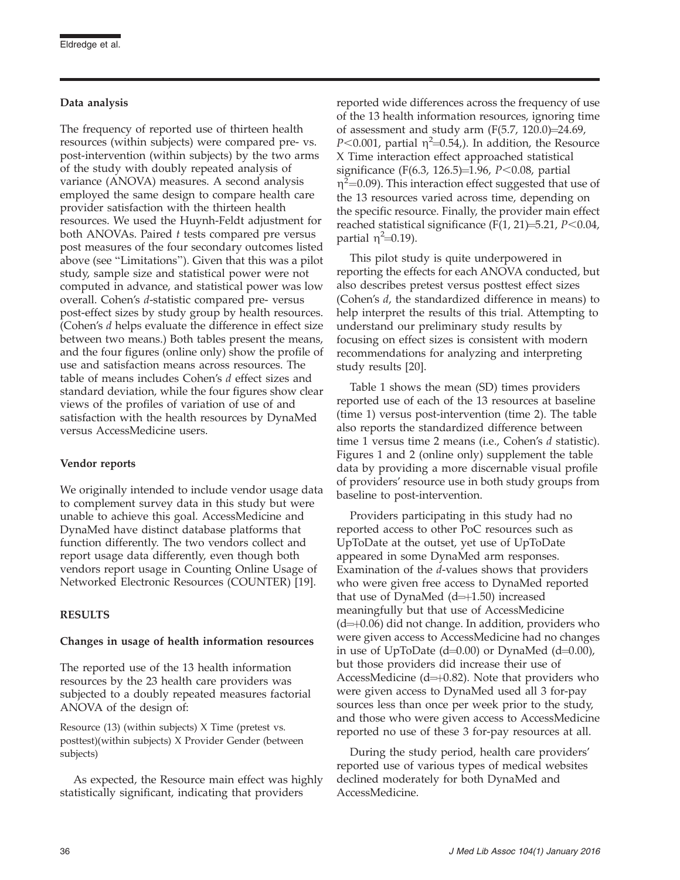# Data analysis

The frequency of reported use of thirteen health resources (within subjects) were compared pre- vs. post-intervention (within subjects) by the two arms of the study with doubly repeated analysis of variance (ANOVA) measures. A second analysis employed the same design to compare health care provider satisfaction with the thirteen health resources. We used the Huynh-Feldt adjustment for both ANOVAs. Paired *t* tests compared pre versus post measures of the four secondary outcomes listed above (see ''Limitations''). Given that this was a pilot study, sample size and statistical power were not computed in advance, and statistical power was low overall. Cohen's d-statistic compared pre- versus post-effect sizes by study group by health resources. (Cohen's d helps evaluate the difference in effect size between two means.) Both tables present the means, and the four figures (online only) show the profile of use and satisfaction means across resources. The table of means includes Cohen's d effect sizes and standard deviation, while the four figures show clear views of the profiles of variation of use of and satisfaction with the health resources by DynaMed versus AccessMedicine users.

## Vendor reports

We originally intended to include vendor usage data to complement survey data in this study but were unable to achieve this goal. AccessMedicine and DynaMed have distinct database platforms that function differently. The two vendors collect and report usage data differently, even though both vendors report usage in Counting Online Usage of Networked Electronic Resources (COUNTER) [19].

## RESULTS

#### Changes in usage of health information resources

The reported use of the 13 health information resources by the 23 health care providers was subjected to a doubly repeated measures factorial ANOVA of the design of:

Resource (13) (within subjects) X Time (pretest vs. posttest)(within subjects) X Provider Gender (between subjects)

As expected, the Resource main effect was highly statistically significant, indicating that providers

reported wide differences across the frequency of use of the 13 health information resources, ignoring time of assessment and study arm  $(F(5.7, 120.0) = 24.69)$ , *P*<0.001, partial  $\eta^2$ =0.54,). In addition, the Resource X Time interaction effect approached statistical significance (F(6.3, 126.5)=1.96, P<0.08, partial  $\eta^2$ =0.09). This interaction effect suggested that use of the 13 resources varied across time, depending on the specific resource. Finally, the provider main effect reached statistical significance  $(F(1, 21)=5.21, P<0.04,$ partial  $\eta^2 = 0.19$ ).

This pilot study is quite underpowered in reporting the effects for each ANOVA conducted, but also describes pretest versus posttest effect sizes (Cohen's d, the standardized difference in means) to help interpret the results of this trial. Attempting to understand our preliminary study results by focusing on effect sizes is consistent with modern recommendations for analyzing and interpreting study results [20].

Table 1 shows the mean (SD) times providers reported use of each of the 13 resources at baseline (time 1) versus post-intervention (time 2). The table also reports the standardized difference between time 1 versus time 2 means (i.e., Cohen's d statistic). Figures 1 and 2 (online only) supplement the table data by providing a more discernable visual profile of providers' resource use in both study groups from baseline to post-intervention.

Providers participating in this study had no reported access to other PoC resources such as UpToDate at the outset, yet use of UpToDate appeared in some DynaMed arm responses. Examination of the d-values shows that providers who were given free access to DynaMed reported that use of DynaMed  $(d=+1.50)$  increased meaningfully but that use of AccessMedicine  $(d=+0.06)$  did not change. In addition, providers who were given access to AccessMedicine had no changes in use of UpToDate  $(d=0.00)$  or DynaMed  $(d=0.00)$ , but those providers did increase their use of AccessMedicine ( $d=+0.82$ ). Note that providers who were given access to DynaMed used all 3 for-pay sources less than once per week prior to the study, and those who were given access to AccessMedicine reported no use of these 3 for-pay resources at all.

During the study period, health care providers' reported use of various types of medical websites declined moderately for both DynaMed and AccessMedicine.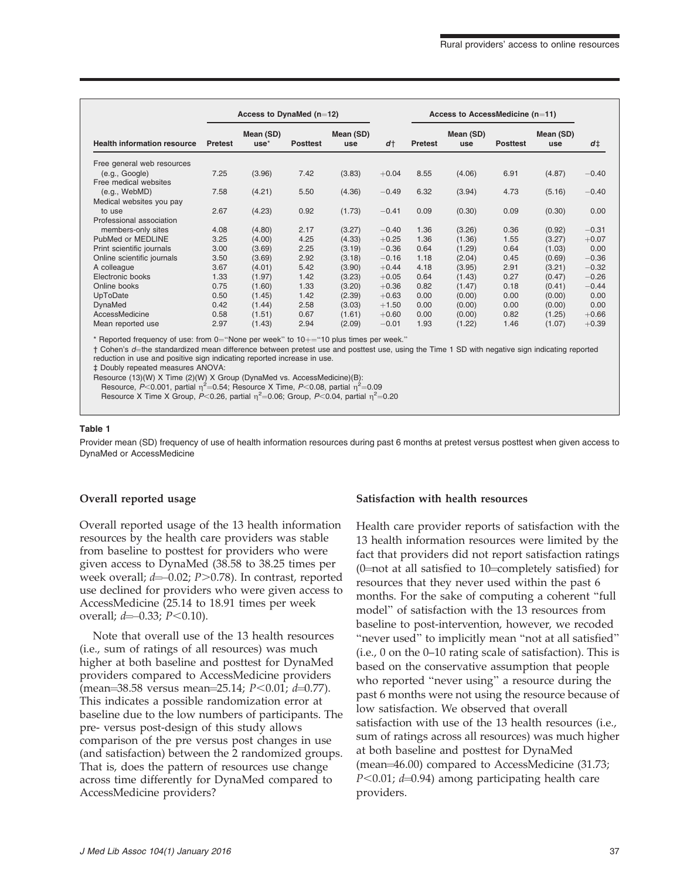| <b>Health information resource</b> | Access to DynaMed $(n=12)$ |                     |                 |                  |                | Access to AccessMedicine $(n=11)$ |                  |                 |                  |             |
|------------------------------------|----------------------------|---------------------|-----------------|------------------|----------------|-----------------------------------|------------------|-----------------|------------------|-------------|
|                                    | <b>Pretest</b>             | Mean (SD)<br>$use*$ | <b>Posttest</b> | Mean (SD)<br>use | d <sup>+</sup> | <b>Pretest</b>                    | Mean (SD)<br>use | <b>Posttest</b> | Mean (SD)<br>use | $d\ddagger$ |
| Free general web resources         |                            |                     |                 |                  |                |                                   |                  |                 |                  |             |
| (e.g., Google)                     | 7.25                       | (3.96)              | 7.42            | (3.83)           | $+0.04$        | 8.55                              | (4.06)           | 6.91            | (4.87)           | $-0.40$     |
| Free medical websites              |                            |                     |                 |                  |                |                                   |                  |                 |                  |             |
| (e.q., WebMD)                      | 7.58                       | (4.21)              | 5.50            | (4.36)           | $-0.49$        | 6.32                              | (3.94)           | 4.73            | (5.16)           | $-0.40$     |
| Medical websites you pay           |                            |                     |                 |                  |                |                                   |                  |                 |                  |             |
| to use                             | 2.67                       | (4.23)              | 0.92            | (1.73)           | $-0.41$        | 0.09                              | (0.30)           | 0.09            | (0.30)           | 0.00        |
| Professional association           |                            |                     |                 |                  |                |                                   |                  |                 |                  |             |
| members-only sites                 | 4.08                       | (4.80)              | 2.17            | (3.27)           | $-0.40$        | 1.36                              | (3.26)           | 0.36            | (0.92)           | $-0.31$     |
| PubMed or MEDLINE                  | 3.25                       | (4.00)              | 4.25            | (4.33)           | $+0.25$        | 1.36                              | (1.36)           | 1.55            | (3.27)           | $+0.07$     |
| Print scientific journals          | 3.00                       | (3.69)              | 2.25            | (3.19)           | $-0.36$        | 0.64                              | (1.29)           | 0.64            | (1.03)           | 0.00        |
| Online scientific journals         | 3.50                       | (3.69)              | 2.92            | (3.18)           | $-0.16$        | 1.18                              | (2.04)           | 0.45            | (0.69)           | $-0.36$     |
| A colleague                        | 3.67                       | (4.01)              | 5.42            | (3.90)           | $+0.44$        | 4.18                              | (3.95)           | 2.91            | (3.21)           | $-0.32$     |
| Electronic books                   | 1.33                       | (1.97)              | 1.42            | (3.23)           | $+0.05$        | 0.64                              | (1.43)           | 0.27            | (0.47)           | $-0.26$     |
| Online books                       | 0.75                       | (1.60)              | 1.33            | (3.20)           | $+0.36$        | 0.82                              | (1.47)           | 0.18            | (0.41)           | $-0.44$     |
| UpToDate                           | 0.50                       | (1.45)              | 1.42            | (2.39)           | $+0.63$        | 0.00                              | (0.00)           | 0.00            | (0.00)           | 0.00        |
| DynaMed                            | 0.42                       | (1.44)              | 2.58            | (3.03)           | $+1.50$        | 0.00                              | (0.00)           | 0.00            | (0.00)           | 0.00        |
| AccessMedicine                     | 0.58                       | (1.51)              | 0.67            | (1.61)           | $+0.60$        | 0.00                              | (0.00)           | 0.82            | (1.25)           | $+0.66$     |
| Mean reported use                  | 2.97                       | (1.43)              | 2.94            | (2.09)           | $-0.01$        | 1.93                              | (1.22)           | 1.46            | (1.07)           | $+0.39$     |

 $*$  Reported frequency of use: from 0="None per week" to 10+="10 plus times per week."

 $\dagger$  Cohen's  $d$ =the standardized mean difference between pretest use and posttest use, using the Time 1 SD with negative sign indicating reported reduction in use and positive sign indicating reported increase in use.

‡ Doubly repeated measures ANOVA:

Resource (13)(W) X Time (2)(W) X Group (DynaMed vs. AccessMedicine)(B):

Resource, P<0.001, partial  $\eta^2$ =0.54; Resource X Time, P<0.08, partial  $\eta^2$ =0.09

Resource X Time X Group, P<0.26, partial  $\eta^2$ =0.06; Group, P<0.04, partial  $\eta^2$ =0.20

#### Table 1

Provider mean (SD) frequency of use of health information resources during past 6 months at pretest versus posttest when given access to DynaMed or AccessMedicine

## Overall reported usage

Overall reported usage of the 13 health information resources by the health care providers was stable from baseline to posttest for providers who were given access to DynaMed (38.58 to 38.25 times per week overall;  $d=0.02;$  P $>$ 0.78). In contrast, reported use declined for providers who were given access to AccessMedicine (25.14 to 18.91 times per week overall;  $d=0.33; P<0.10$ ).

Note that overall use of the 13 health resources (i.e., sum of ratings of all resources) was much higher at both baseline and posttest for DynaMed providers compared to AccessMedicine providers (mean=38.58 versus mean=25.14;  $P<0.01$ ; d=0.77). This indicates a possible randomization error at baseline due to the low numbers of participants. The pre- versus post-design of this study allows comparison of the pre versus post changes in use (and satisfaction) between the 2 randomized groups. That is, does the pattern of resources use change across time differently for DynaMed compared to AccessMedicine providers?

## Satisfaction with health resources

Health care provider reports of satisfaction with the 13 health information resources were limited by the fact that providers did not report satisfaction ratings ( $0$ =not at all satisfied to 10=completely satisfied) for resources that they never used within the past 6 months. For the sake of computing a coherent "full model'' of satisfaction with the 13 resources from baseline to post-intervention, however, we recoded ''never used'' to implicitly mean ''not at all satisfied'' (i.e., 0 on the 0–10 rating scale of satisfaction). This is based on the conservative assumption that people who reported ''never using'' a resource during the past 6 months were not using the resource because of low satisfaction. We observed that overall satisfaction with use of the 13 health resources (i.e., sum of ratings across all resources) was much higher at both baseline and posttest for DynaMed (mean= $46.00$ ) compared to AccessMedicine (31.73;  $P<0.01$ ; d=0.94) among participating health care providers.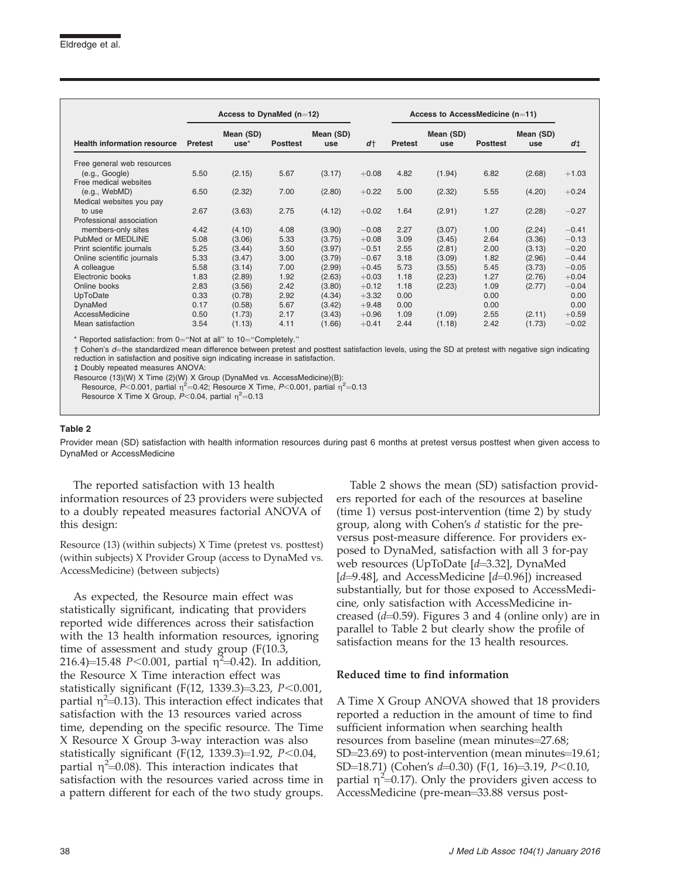| <b>Health information resource</b> | Access to DynaMed $(n=12)$ |                     |                 |                  |         | Access to AccessMedicine $(n=11)$ |                  |                 |                  |             |
|------------------------------------|----------------------------|---------------------|-----------------|------------------|---------|-----------------------------------|------------------|-----------------|------------------|-------------|
|                                    | <b>Pretest</b>             | Mean (SD)<br>$use*$ | <b>Posttest</b> | Mean (SD)<br>use | d†      | <b>Pretest</b>                    | Mean (SD)<br>use | <b>Posttest</b> | Mean (SD)<br>use | $d\ddagger$ |
| Free general web resources         |                            |                     |                 |                  |         |                                   |                  |                 |                  |             |
| (e.g., Google)                     | 5.50                       | (2.15)              | 5.67            | (3.17)           | $+0.08$ | 4.82                              | (1.94)           | 6.82            | (2.68)           | $+1.03$     |
| Free medical websites              |                            |                     |                 |                  |         |                                   |                  |                 |                  |             |
| (e.q., WebMD)                      | 6.50                       | (2.32)              | 7.00            | (2.80)           | $+0.22$ | 5.00                              | (2.32)           | 5.55            | (4.20)           | $+0.24$     |
| Medical websites you pay<br>to use | 2.67                       |                     | 2.75            |                  |         | 1.64                              |                  | 1.27            |                  |             |
| Professional association           |                            | (3.63)              |                 | (4.12)           | $+0.02$ |                                   | (2.91)           |                 | (2.28)           | $-0.27$     |
| members-only sites                 | 4.42                       | (4.10)              | 4.08            | (3.90)           | $-0.08$ | 2.27                              | (3.07)           | 1.00            | (2.24)           | $-0.41$     |
| PubMed or MEDLINE                  | 5.08                       | (3.06)              | 5.33            | (3.75)           | $+0.08$ | 3.09                              | (3.45)           | 2.64            | (3.36)           | $-0.13$     |
| Print scientific journals          | 5.25                       | (3.44)              | 3.50            | (3.97)           | $-0.51$ | 2.55                              | (2.81)           | 2.00            | (3.13)           | $-0.20$     |
| Online scientific journals         | 5.33                       | (3.47)              | 3.00            | (3.79)           | $-0.67$ | 3.18                              | (3.09)           | 1.82            | (2.96)           | $-0.44$     |
| A colleague                        | 5.58                       | (3.14)              | 7.00            | (2.99)           | $+0.45$ | 5.73                              | (3.55)           | 5.45            | (3.73)           | $-0.05$     |
| Electronic books                   | 1.83                       | (2.89)              | 1.92            | (2.63)           | $+0.03$ | 1.18                              | (2.23)           | 1.27            | (2.76)           | $+0.04$     |
| Online books                       | 2.83                       | (3.56)              | 2.42            | (3.80)           | $+0.12$ | 1.18                              | (2.23)           | 1.09            | (2.77)           | $-0.04$     |
| UpToDate                           | 0.33                       | (0.78)              | 2.92            | (4.34)           | $+3.32$ | 0.00                              |                  | 0.00            |                  | 0.00        |
| DynaMed                            | 0.17                       | (0.58)              | 5.67            | (3.42)           | $+9.48$ | 0.00                              |                  | 0.00            |                  | 0.00        |
| AccessMedicine                     | 0.50                       | (1.73)              | 2.17            | (3.43)           | $+0.96$ | 1.09                              | (1.09)           | 2.55            | (2.11)           | $+0.59$     |
| Mean satisfaction                  | 3.54                       | (1.13)              | 4.11            | (1.66)           | $+0.41$ | 2.44                              | (1.18)           | 2.42            | (1.73)           | $-0.02$     |

\* Reported satisfaction: from 0="Not at all" to 10="Completely."

 $\dagger$  Cohen's  $d$ =the standardized mean difference between pretest and posttest satisfaction levels, using the SD at pretest with negative sign indicating reduction in satisfaction and positive sign indicating increase in satisfaction.

‡ Doubly repeated measures ANOVA:

Resource (13)(W) X Time (2)(W) X Group (DynaMed vs. AccessMedicine)(B):

Resource, P<0.001, partial  $\eta^2$ =0.42; Resource X Time, P<0.001, partial  $\eta^2$ =0.13

Resource X Time X Group, P<0.04, partial  $\eta^2$ =0.13

#### Table 2

Provider mean (SD) satisfaction with health information resources during past 6 months at pretest versus posttest when given access to DynaMed or AccessMedicine

The reported satisfaction with 13 health information resources of 23 providers were subjected to a doubly repeated measures factorial ANOVA of this design:

Resource (13) (within subjects) X Time (pretest vs. posttest) (within subjects) X Provider Group (access to DynaMed vs. AccessMedicine) (between subjects)

As expected, the Resource main effect was statistically significant, indicating that providers reported wide differences across their satisfaction with the 13 health information resources, ignoring time of assessment and study group (F(10.3, 216.4)=15.48 P<0.001, partial  $\eta^2$ =0.42). In addition, the Resource X Time interaction effect was statistically significant (F(12, 1339.3)=3.23,  $P < 0.001$ , partial  $\eta^2$ =0.13). This interaction effect indicates that satisfaction with the 13 resources varied across time, depending on the specific resource. The Time X Resource X Group 3-way interaction was also statistically significant (F(12, 1339.3)=1.92,  $P<0.04$ , partial  $\eta^2$ =0.08). This interaction indicates that satisfaction with the resources varied across time in a pattern different for each of the two study groups.

Table 2 shows the mean (SD) satisfaction providers reported for each of the resources at baseline (time 1) versus post-intervention (time 2) by study group, along with Cohen's d statistic for the preversus post-measure difference. For providers exposed to DynaMed, satisfaction with all 3 for-pay web resources (UpToDate  $[d=3.32]$ , DynaMed [ $d=9.48$ ], and AccessMedicine [ $d=0.96$ ]) increased substantially, but for those exposed to AccessMedicine, only satisfaction with AccessMedicine increased  $(d=0.59)$ . Figures 3 and 4 (online only) are in parallel to Table 2 but clearly show the profile of satisfaction means for the 13 health resources.

#### Reduced time to find information

A Time X Group ANOVA showed that 18 providers reported a reduction in the amount of time to find sufficient information when searching health resources from baseline (mean minutes=27.68;  $SD = 23.69$ ) to post-intervention (mean minutes=19.61; SD=18.71) (Cohen's  $d=0.30$ ) (F(1, 16)=3.19, P<0.10, partial  $\eta^2$ =0.17). Only the providers given access to AccessMedicine (pre-mean=33.88 versus post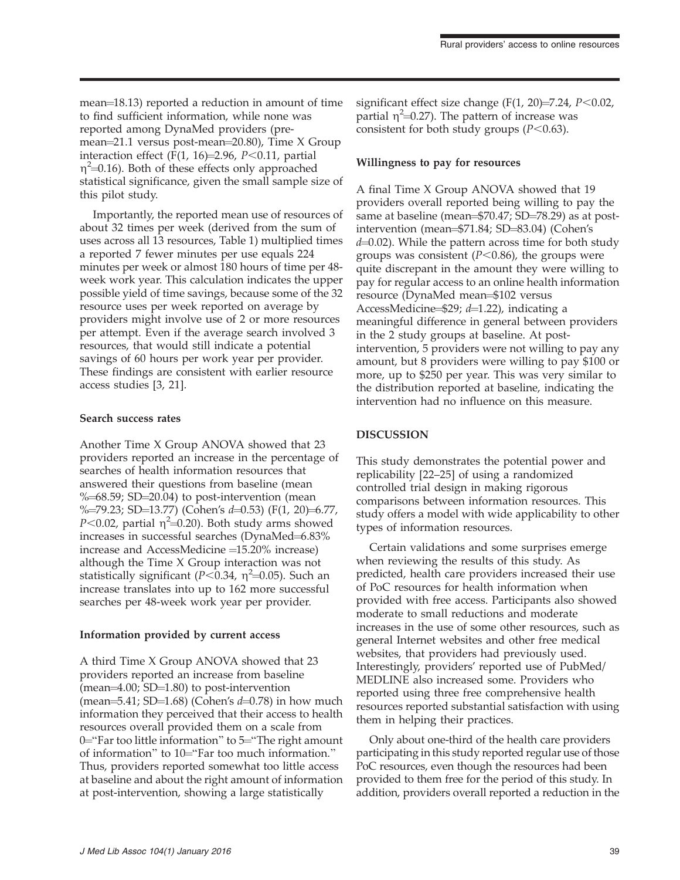mean=18.13) reported a reduction in amount of time to find sufficient information, while none was reported among DynaMed providers (premean= $21.1$  versus post-mean= $20.80$ ), Time X Group interaction effect (F(1, 16)=2.96, P<0.11, partial  $\eta^2$ =0.16). Both of these effects only approached statistical significance, given the small sample size of this pilot study.

Importantly, the reported mean use of resources of about 32 times per week (derived from the sum of uses across all 13 resources, Table 1) multiplied times a reported 7 fewer minutes per use equals 224 minutes per week or almost 180 hours of time per 48 week work year. This calculation indicates the upper possible yield of time savings, because some of the 32 resource uses per week reported on average by providers might involve use of 2 or more resources per attempt. Even if the average search involved 3 resources, that would still indicate a potential savings of 60 hours per work year per provider. These findings are consistent with earlier resource access studies [3, 21].

## Search success rates

Another Time X Group ANOVA showed that 23 providers reported an increase in the percentage of searches of health information resources that answered their questions from baseline (mean  $\%$ =68.59; SD=20.04) to post-intervention (mean  $\%$ =79.23; SD=13.77) (Cohen's d=0.53) (F(1, 20)=6.77, P<0.02, partial  $\eta^2$ =0.20). Both study arms showed increases in successful searches (DynaMed=6.83% increase and AccessMedicine  $=15.20\%$  increase) although the Time X Group interaction was not statistically significant (P<0.34,  $\eta^2$ =0.05). Such an increase translates into up to 162 more successful searches per 48-week work year per provider.

# Information provided by current access

A third Time X Group ANOVA showed that 23 providers reported an increase from baseline (mean= $4.00$ ; SD= $1.80$ ) to post-intervention (mean=5.41; SD=1.68) (Cohen's  $d=0.78$ ) in how much information they perceived that their access to health resources overall provided them on a scale from 0="Far too little information" to 5="The right amount of information" to  $10\text{m}$ <sup>'</sup>Far too much information." Thus, providers reported somewhat too little access at baseline and about the right amount of information at post-intervention, showing a large statistically

significant effect size change (F(1, 20)=7.24,  $P<0.02$ , partial  $\eta^2$ =0.27). The pattern of increase was consistent for both study groups ( $P<0.63$ ).

### Willingness to pay for resources

A final Time X Group ANOVA showed that 19 providers overall reported being willing to pay the same at baseline (mean= $$70.47; SD=78.29$ ) as at postintervention (mean=\$71.84; SD=83.04) (Cohen's  $d=0.02$ ). While the pattern across time for both study groups was consistent ( $P<0.86$ ), the groups were quite discrepant in the amount they were willing to pay for regular access to an online health information resource (DynaMed mean=\$102 versus AccessMedicine= $$29; d=1.22$ ), indicating a meaningful difference in general between providers in the 2 study groups at baseline. At postintervention, 5 providers were not willing to pay any amount, but 8 providers were willing to pay \$100 or more, up to \$250 per year. This was very similar to the distribution reported at baseline, indicating the intervention had no influence on this measure.

## DISCUSSION

This study demonstrates the potential power and replicability [22–25] of using a randomized controlled trial design in making rigorous comparisons between information resources. This study offers a model with wide applicability to other types of information resources.

Certain validations and some surprises emerge when reviewing the results of this study. As predicted, health care providers increased their use of PoC resources for health information when provided with free access. Participants also showed moderate to small reductions and moderate increases in the use of some other resources, such as general Internet websites and other free medical websites, that providers had previously used. Interestingly, providers' reported use of PubMed/ MEDLINE also increased some. Providers who reported using three free comprehensive health resources reported substantial satisfaction with using them in helping their practices.

Only about one-third of the health care providers participating in this study reported regular use of those PoC resources, even though the resources had been provided to them free for the period of this study. In addition, providers overall reported a reduction in the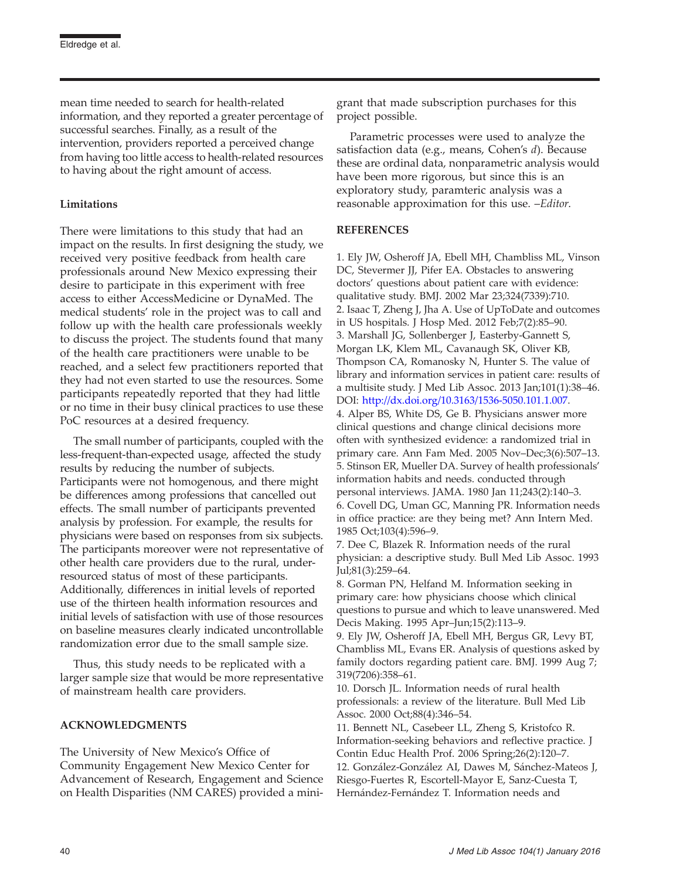mean time needed to search for health-related information, and they reported a greater percentage of successful searches. Finally, as a result of the intervention, providers reported a perceived change from having too little access to health-related resources to having about the right amount of access.

# Limitations

There were limitations to this study that had an impact on the results. In first designing the study, we received very positive feedback from health care professionals around New Mexico expressing their desire to participate in this experiment with free access to either AccessMedicine or DynaMed. The medical students' role in the project was to call and follow up with the health care professionals weekly to discuss the project. The students found that many of the health care practitioners were unable to be reached, and a select few practitioners reported that they had not even started to use the resources. Some participants repeatedly reported that they had little or no time in their busy clinical practices to use these PoC resources at a desired frequency.

The small number of participants, coupled with the less-frequent-than-expected usage, affected the study results by reducing the number of subjects. Participants were not homogenous, and there might be differences among professions that cancelled out effects. The small number of participants prevented analysis by profession. For example, the results for physicians were based on responses from six subjects. The participants moreover were not representative of other health care providers due to the rural, underresourced status of most of these participants. Additionally, differences in initial levels of reported use of the thirteen health information resources and initial levels of satisfaction with use of those resources on baseline measures clearly indicated uncontrollable randomization error due to the small sample size.

Thus, this study needs to be replicated with a larger sample size that would be more representative of mainstream health care providers.

# ACKNOWLEDGMENTS

The University of New Mexico's Office of Community Engagement New Mexico Center for Advancement of Research, Engagement and Science on Health Disparities (NM CARES) provided a minigrant that made subscription purchases for this project possible.

Parametric processes were used to analyze the satisfaction data (e.g., means, Cohen's d). Because these are ordinal data, nonparametric analysis would have been more rigorous, but since this is an exploratory study, paramteric analysis was a reasonable approximation for this use. –Editor.

# REFERENCES

1. Ely JW, Osheroff JA, Ebell MH, Chambliss ML, Vinson DC, Stevermer JJ, Pifer EA. Obstacles to answering doctors' questions about patient care with evidence: qualitative study. BMJ. 2002 Mar 23;324(7339):710. 2. Isaac T, Zheng J, Jha A. Use of UpToDate and outcomes in US hospitals. J Hosp Med. 2012 Feb;7(2):85–90. 3. Marshall JG, Sollenberger J, Easterby-Gannett S, Morgan LK, Klem ML, Cavanaugh SK, Oliver KB, Thompson CA, Romanosky N, Hunter S. The value of library and information services in patient care: results of a multisite study. J Med Lib Assoc. 2013 Jan;101(1):38–46. DOI: <http://dx.doi.org/10.3163/1536-5050.101.1.007>. 4. Alper BS, White DS, Ge B. Physicians answer more clinical questions and change clinical decisions more often with synthesized evidence: a randomized trial in primary care. Ann Fam Med. 2005 Nov–Dec;3(6):507–13. 5. Stinson ER, Mueller DA. Survey of health professionals' information habits and needs. conducted through personal interviews. JAMA. 1980 Jan 11;243(2):140–3. 6. Covell DG, Uman GC, Manning PR. Information needs in office practice: are they being met? Ann Intern Med. 1985 Oct;103(4):596–9.

7. Dee C, Blazek R. Information needs of the rural physician: a descriptive study. Bull Med Lib Assoc. 1993 Jul;81(3):259–64.

8. Gorman PN, Helfand M. Information seeking in primary care: how physicians choose which clinical questions to pursue and which to leave unanswered. Med Decis Making. 1995 Apr–Jun;15(2):113–9.

9. Ely JW, Osheroff JA, Ebell MH, Bergus GR, Levy BT, Chambliss ML, Evans ER. Analysis of questions asked by family doctors regarding patient care. BMJ. 1999 Aug 7; 319(7206):358–61.

10. Dorsch JL. Information needs of rural health professionals: a review of the literature. Bull Med Lib Assoc. 2000 Oct;88(4):346–54.

11. Bennett NL, Casebeer LL, Zheng S, Kristofco R. Information-seeking behaviors and reflective practice. J Contin Educ Health Prof. 2006 Spring;26(2):120–7. 12. González-González AI, Dawes M, Sánchez-Mateos J, Riesgo-Fuertes R, Escortell-Mayor E, Sanz-Cuesta T, Hernández-Fernández T. Information needs and